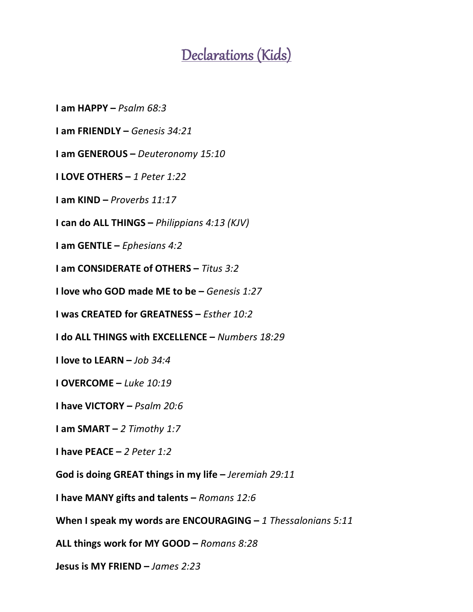## Declarations (Kids)

**I am HAPPY –** *Psalm 68:3*

**I am FRIENDLY –** *Genesis 34:21*

**I am GENEROUS –** *Deuteronomy 15:10*

**I LOVE OTHERS –** *1 Peter 1:22*

**I am KIND –** *Proverbs 11:17*

**I can do ALL THINGS –** *Philippians 4:13 (KJV)*

**I am GENTLE –** *Ephesians 4:2*

**I am CONSIDERATE of OTHERS –** *Titus 3:2*

**I love who GOD made ME to be –** *Genesis 1:27*

**I was CREATED for GREATNESS –** *Esther 10:2*

**I do ALL THINGS with EXCELLENCE –** *Numbers 18:29*

**I love to LEARN –** *Job 34:4*

**I OVERCOME –** *Luke 10:19*

**I have VICTORY –** *Psalm 20:6*

**I am SMART –** *2 Timothy 1:7*

**I have PEACE –** *2 Peter 1:2*

**God is doing GREAT things in my life –** *Jeremiah 29:11*

**I have MANY gifts and talents –** *Romans 12:6*

**When I speak my words are ENCOURAGING –** *1 Thessalonians 5:11*

**ALL things work for MY GOOD –** *Romans 8:28*

**Jesus is MY FRIEND –** *James 2:23*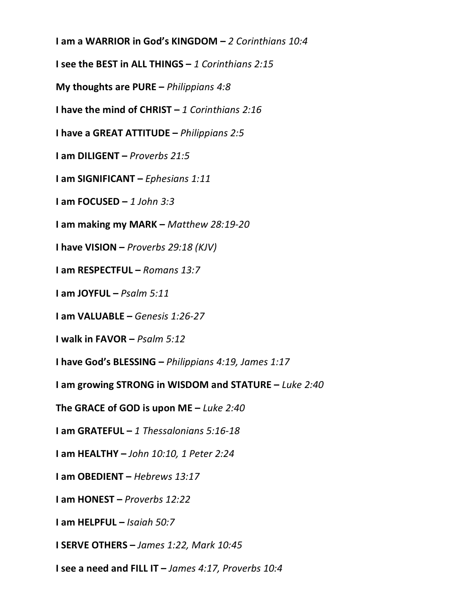**I am a WARRIOR in God's KINGDOM –** *2 Corinthians 10:4*

**I see the BEST in ALL THINGS –** *1 Corinthians 2:15*

**My thoughts are PURE –** *Philippians 4:8*

**I have the mind of CHRIST –** *1 Corinthians 2:16*

**I have a GREAT ATTITUDE –** *Philippians 2:5*

**I am DILIGENT –** *Proverbs 21:5*

**I am SIGNIFICANT –** *Ephesians 1:11*

**I am FOCUSED –** *1 John 3:3*

**I am making my MARK –** *Matthew 28:19-20*

**I have VISION –** *Proverbs 29:18 (KJV)*

**I am RESPECTFUL –** *Romans 13:7*

**I am JOYFUL –** *Psalm 5:11*

**I am VALUABLE –** *Genesis 1:26-27*

**I walk in FAVOR –** *Psalm 5:12*

**I have God's BLESSING –** *Philippians 4:19, James 1:17*

**I am growing STRONG in WISDOM and STATURE –** *Luke 2:40*

**The GRACE of GOD is upon ME –** *Luke 2:40*

**I am GRATEFUL –** *1 Thessalonians 5:16-18* 

**I am HEALTHY –** *John 10:10, 1 Peter 2:24*

**I am OBEDIENT –** *Hebrews 13:17*

**I am HONEST –** *Proverbs 12:22*

**I am HELPFUL –** *Isaiah 50:7*

**I SERVE OTHERS –** *James 1:22, Mark 10:45*

**I see a need and FILL IT –** *James 4:17, Proverbs 10:4*